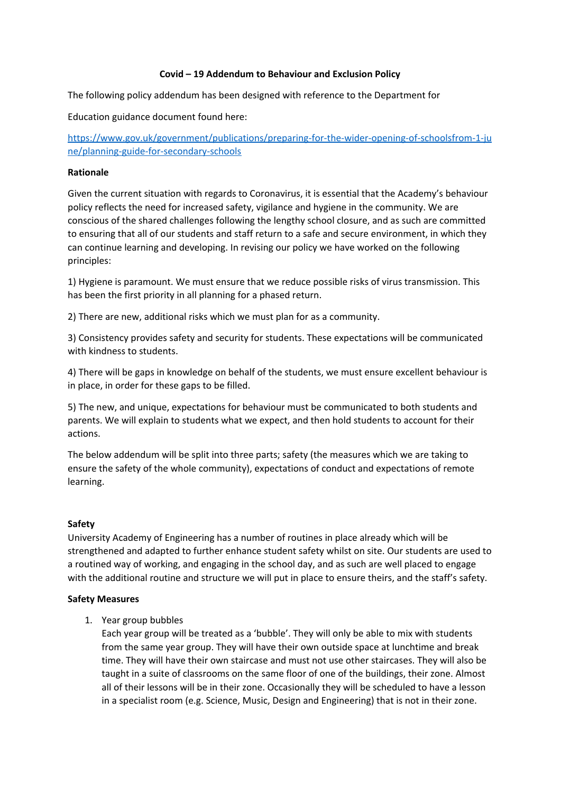## **Covid – 19 Addendum to Behaviour and Exclusion Policy**

The following policy addendum has been designed with reference to the Department for

Education guidance document found here:

[https://www.gov.uk/government/publications/preparing-for-the-wider-opening-of-schoolsfrom-1-ju](https://www.gov.uk/government/publications/preparing-for-the-wider-opening-of-schoolsfrom-1-june/planning-guide-for-secondary-schools) [ne/planning-guide-for-secondary-schools](https://www.gov.uk/government/publications/preparing-for-the-wider-opening-of-schoolsfrom-1-june/planning-guide-for-secondary-schools)

## **Rationale**

Given the current situation with regards to Coronavirus, it is essential that the Academy's behaviour policy reflects the need for increased safety, vigilance and hygiene in the community. We are conscious of the shared challenges following the lengthy school closure, and as such are committed to ensuring that all of our students and staff return to a safe and secure environment, in which they can continue learning and developing. In revising our policy we have worked on the following principles:

1) Hygiene is paramount. We must ensure that we reduce possible risks of virus transmission. This has been the first priority in all planning for a phased return.

2) There are new, additional risks which we must plan for as a community.

3) Consistency provides safety and security for students. These expectations will be communicated with kindness to students.

4) There will be gaps in knowledge on behalf of the students, we must ensure excellent behaviour is in place, in order for these gaps to be filled.

5) The new, and unique, expectations for behaviour must be communicated to both students and parents. We will explain to students what we expect, and then hold students to account for their actions.

The below addendum will be split into three parts; safety (the measures which we are taking to ensure the safety of the whole community), expectations of conduct and expectations of remote learning.

## **Safety**

University Academy of Engineering has a number of routines in place already which will be strengthened and adapted to further enhance student safety whilst on site. Our students are used to a routined way of working, and engaging in the school day, and as such are well placed to engage with the additional routine and structure we will put in place to ensure theirs, and the staff's safety.

## **Safety Measures**

1. Year group bubbles

Each year group will be treated as a 'bubble'. They will only be able to mix with students from the same year group. They will have their own outside space at lunchtime and break time. They will have their own staircase and must not use other staircases. They will also be taught in a suite of classrooms on the same floor of one of the buildings, their zone. Almost all of their lessons will be in their zone. Occasionally they will be scheduled to have a lesson in a specialist room (e.g. Science, Music, Design and Engineering) that is not in their zone.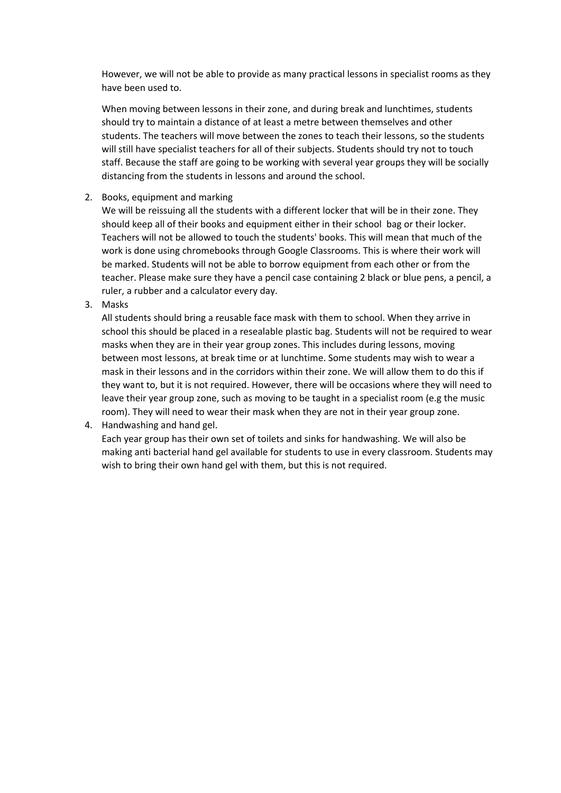However, we will not be able to provide as many practical lessons in specialist rooms as they have been used to.

When moving between lessons in their zone, and during break and lunchtimes, students should try to maintain a distance of at least a metre between themselves and other students. The teachers will move between the zones to teach their lessons, so the students will still have specialist teachers for all of their subjects. Students should try not to touch staff. Because the staff are going to be working with several year groups they will be socially distancing from the students in lessons and around the school.

## 2. Books, equipment and marking

We will be reissuing all the students with a different locker that will be in their zone. They should keep all of their books and equipment either in their school bag or their locker. Teachers will not be allowed to touch the students' books. This will mean that much of the work is done using chromebooks through Google Classrooms. This is where their work will be marked. Students will not be able to borrow equipment from each other or from the teacher. Please make sure they have a pencil case containing 2 black or blue pens, a pencil, a ruler, a rubber and a calculator every day.

3. Masks

All students should bring a reusable face mask with them to school. When they arrive in school this should be placed in a resealable plastic bag. Students will not be required to wear masks when they are in their year group zones. This includes during lessons, moving between most lessons, at break time or at lunchtime. Some students may wish to wear a mask in their lessons and in the corridors within their zone. We will allow them to do this if they want to, but it is not required. However, there will be occasions where they will need to leave their year group zone, such as moving to be taught in a specialist room (e.g the music room). They will need to wear their mask when they are not in their year group zone.

## 4. Handwashing and hand gel.

Each year group has their own set of toilets and sinks for handwashing. We will also be making anti bacterial hand gel available for students to use in every classroom. Students may wish to bring their own hand gel with them, but this is not required.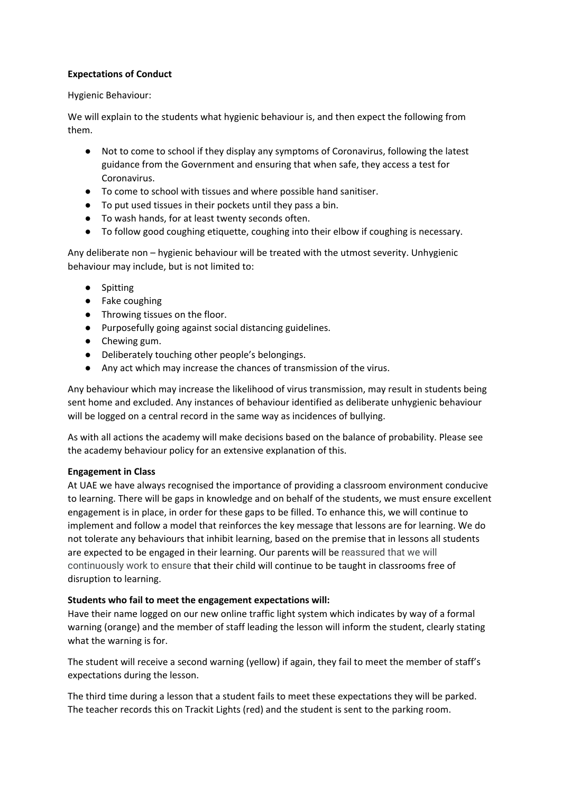## **Expectations of Conduct**

## Hygienic Behaviour:

We will explain to the students what hygienic behaviour is, and then expect the following from them.

- Not to come to school if they display any symptoms of Coronavirus, following the latest guidance from the Government and ensuring that when safe, they access a test for Coronavirus.
- To come to school with tissues and where possible hand sanitiser.
- To put used tissues in their pockets until they pass a bin.
- To wash hands, for at least twenty seconds often.
- To follow good coughing etiquette, coughing into their elbow if coughing is necessary.

Any deliberate non – hygienic behaviour will be treated with the utmost severity. Unhygienic behaviour may include, but is not limited to:

- Spitting
- Fake coughing
- Throwing tissues on the floor.
- Purposefully going against social distancing guidelines.
- Chewing gum.
- Deliberately touching other people's belongings.
- Any act which may increase the chances of transmission of the virus.

Any behaviour which may increase the likelihood of virus transmission, may result in students being sent home and excluded. Any instances of behaviour identified as deliberate unhygienic behaviour will be logged on a central record in the same way as incidences of bullying.

As with all actions the academy will make decisions based on the balance of probability. Please see the academy behaviour policy for an extensive explanation of this.

# **Engagement in Class**

At UAE we have always recognised the importance of providing a classroom environment conducive to learning. There will be gaps in knowledge and on behalf of the students, we must ensure excellent engagement is in place, in order for these gaps to be filled. To enhance this, we will continue to implement and follow a model that reinforces the key message that lessons are for learning. We do not tolerate any behaviours that inhibit learning, based on the premise that in lessons all students are expected to be engaged in their learning. Our parents will be reassured that we will continuously work to ensure that their child will continue to be taught in classrooms free of disruption to learning.

# **Students who fail to meet the engagement expectations will:**

Have their name logged on our new online traffic light system which indicates by way of a formal warning (orange) and the member of staff leading the lesson will inform the student, clearly stating what the warning is for.

The student will receive a second warning (yellow) if again, they fail to meet the member of staff's expectations during the lesson.

The third time during a lesson that a student fails to meet these expectations they will be parked. The teacher records this on Trackit Lights (red) and the student is sent to the parking room.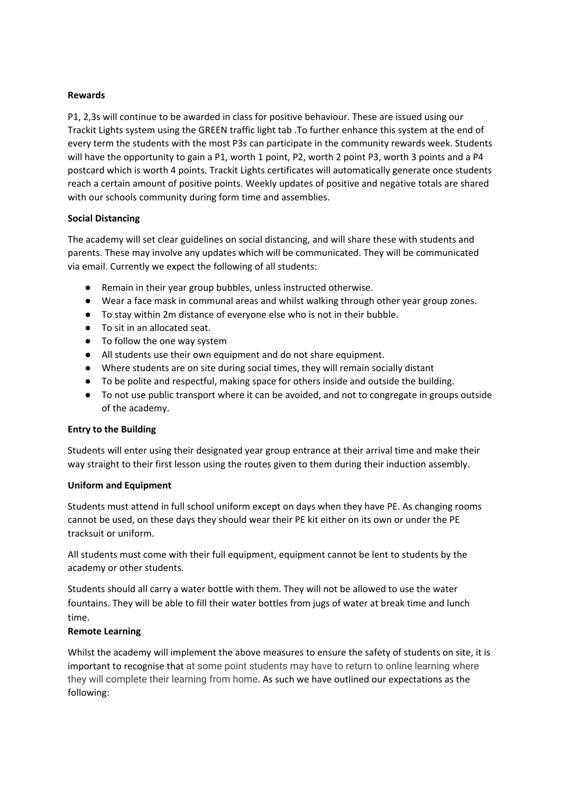#### **Rewards**

P1, 2,3s will continue to be awarded in class for positive behaviour. These are issued using our Trackit Lights system using the GREEN traffic light tab .To further enhance this system at the end of every term the students with the most P3s can participate in the community rewards week. Students will have the opportunity to gain a P1, worth 1 point, P2, worth 2 point P3, worth 3 points and a P4 postcard which is worth 4 points. Trackit Lights certificates will automatically generate once students reach a certain amount of positive points. Weekly updates of positive and negative totals are shared with our schools community during form time and assemblies.

## **Social Distancing**

The academy will set clear guidelines on social distancing, and will share these with students and parents. These may involve any updates which will be communicated. They will be communicated via email. Currently we expect the following of all students:

- Remain in their year group bubbles, unless instructed otherwise.
- Wear a face mask in communal areas and whilst walking through other year group zones.
- To stay within 2m distance of everyone else who is not in their bubble.
- To sit in an allocated seat.
- To follow the one way system
- All students use their own equipment and do not share equipment.
- Where students are on site during social times, they will remain socially distant
- To be polite and respectful, making space for others inside and outside the building.
- To not use public transport where it can be avoided, and not to congregate in groups outside of the academy.

## **Entry to the Building**

Students will enter using their designated year group entrance at their arrival time and make their way straight to their first lesson using the routes given to them during their induction assembly.

## **Uniform and Equipment**

Students must attend in full school uniform except on days when they have PE. As changing rooms cannot be used, on these days they should wear their PE kit either on its own or under the PE tracksuit or uniform.

All students must come with their full equipment, equipment cannot be lent to students by the academy or other students.

Students should all carry a water bottle with them. They will not be allowed to use the water fountains. They will be able to fill their water bottles from jugs of water at break time and lunch time.

## **Remote Learning**

Whilst the academy will implement the above measures to ensure the safety of students on site, it is important to recognise that at some point students may have to return to online learning where they will complete their learning from home. As such we have outlined our expectations as the following: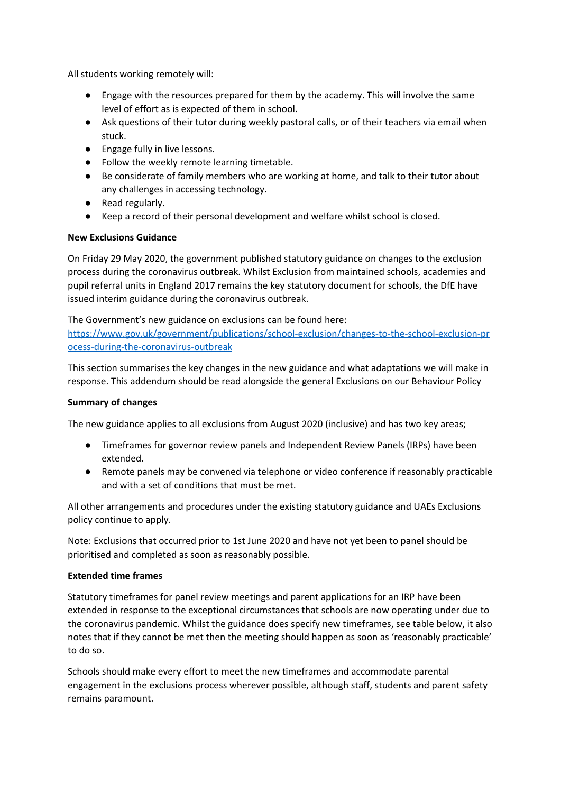All students working remotely will:

- Engage with the resources prepared for them by the academy. This will involve the same level of effort as is expected of them in school.
- Ask questions of their tutor during weekly pastoral calls, or of their teachers via email when stuck.
- Engage fully in live lessons.
- Follow the weekly remote learning timetable.
- Be considerate of family members who are working at home, and talk to their tutor about any challenges in accessing technology.
- Read regularly.
- Keep a record of their personal development and welfare whilst school is closed.

## **New Exclusions Guidance**

On Friday 29 May 2020, the government published statutory guidance on changes to the exclusion process during the coronavirus outbreak. Whilst Exclusion from maintained schools, academies and pupil referral units in England 2017 remains the key statutory document for schools, the DfE have issued interim guidance during the coronavirus outbreak.

The Government's new guidance on exclusions can be found here:

[https://www.gov.uk/government/publications/school-exclusion/changes-to-the-school-exclusion-pr](https://www.gov.uk/government/publications/school-exclusion/changes-to-the-school-exclusion-process-during-the-coronavirus-outbreak) [ocess-during-the-coronavirus-outbreak](https://www.gov.uk/government/publications/school-exclusion/changes-to-the-school-exclusion-process-during-the-coronavirus-outbreak)

This section summarises the key changes in the new guidance and what adaptations we will make in response. This addendum should be read alongside the general Exclusions on our Behaviour Policy

## **Summary of changes**

The new guidance applies to all exclusions from August 2020 (inclusive) and has two key areas;

- Timeframes for governor review panels and Independent Review Panels (IRPs) have been extended.
- Remote panels may be convened via telephone or video conference if reasonably practicable and with a set of conditions that must be met.

All other arrangements and procedures under the existing statutory guidance and UAEs Exclusions policy continue to apply.

Note: Exclusions that occurred prior to 1st June 2020 and have not yet been to panel should be prioritised and completed as soon as reasonably possible.

## **Extended time frames**

Statutory timeframes for panel review meetings and parent applications for an IRP have been extended in response to the exceptional circumstances that schools are now operating under due to the coronavirus pandemic. Whilst the guidance does specify new timeframes, see table below, it also notes that if they cannot be met then the meeting should happen as soon as 'reasonably practicable' to do so.

Schools should make every effort to meet the new timeframes and accommodate parental engagement in the exclusions process wherever possible, although staff, students and parent safety remains paramount.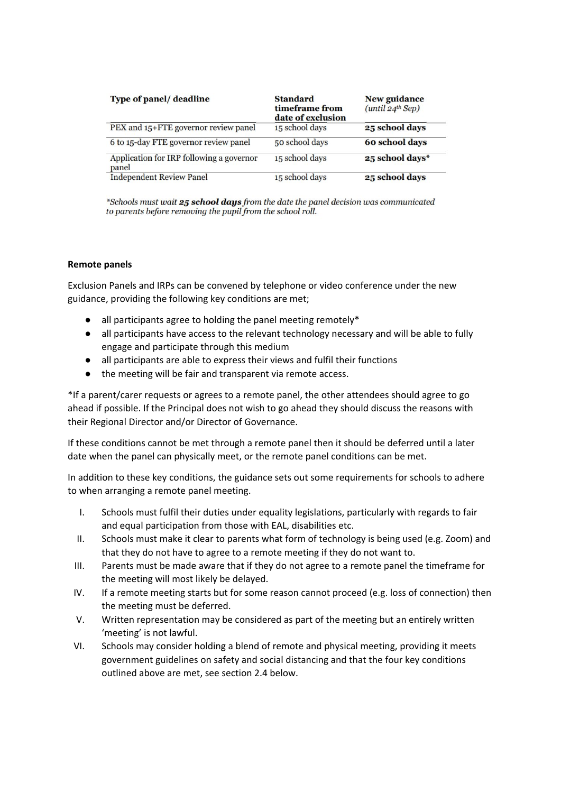| Type of panel/deadline                            | <b>Standard</b><br>timeframe from<br>date of exclusion | <b>New guidance</b><br>$(\text{until } 24^{\text{th}}$ Sep) |
|---------------------------------------------------|--------------------------------------------------------|-------------------------------------------------------------|
| PEX and 15+FTE governor review panel              | 15 school days                                         | 25 school days                                              |
| 6 to 15-day FTE governor review panel             | 50 school days                                         | 60 school days                                              |
| Application for IRP following a governor<br>panel | 15 school days                                         | 25 school days*                                             |
| <b>Independent Review Panel</b>                   | 15 school days                                         | 25 school days                                              |

\*Schools must wait 25 school days from the date the panel decision was communicated to parents before removing the pupil from the school roll.

## **Remote panels**

Exclusion Panels and IRPs can be convened by telephone or video conference under the new guidance, providing the following key conditions are met;

- $\bullet$  all participants agree to holding the panel meeting remotely\*
- all participants have access to the relevant technology necessary and will be able to fully engage and participate through this medium
- all participants are able to express their views and fulfil their functions
- the meeting will be fair and transparent via remote access.

\*If a parent/carer requests or agrees to a remote panel, the other attendees should agree to go ahead if possible. If the Principal does not wish to go ahead they should discuss the reasons with their Regional Director and/or Director of Governance.

If these conditions cannot be met through a remote panel then it should be deferred until a later date when the panel can physically meet, or the remote panel conditions can be met.

In addition to these key conditions, the guidance sets out some requirements for schools to adhere to when arranging a remote panel meeting.

- I. Schools must fulfil their duties under equality legislations, particularly with regards to fair and equal participation from those with EAL, disabilities etc.
- II. Schools must make it clear to parents what form of technology is being used (e.g. Zoom) and that they do not have to agree to a remote meeting if they do not want to.
- III. Parents must be made aware that if they do not agree to a remote panel the timeframe for the meeting will most likely be delayed.
- IV. If a remote meeting starts but for some reason cannot proceed (e.g. loss of connection) then the meeting must be deferred.
- V. Written representation may be considered as part of the meeting but an entirely written 'meeting' is not lawful.
- VI. Schools may consider holding a blend of remote and physical meeting, providing it meets government guidelines on safety and social distancing and that the four key conditions outlined above are met, see section 2.4 below.